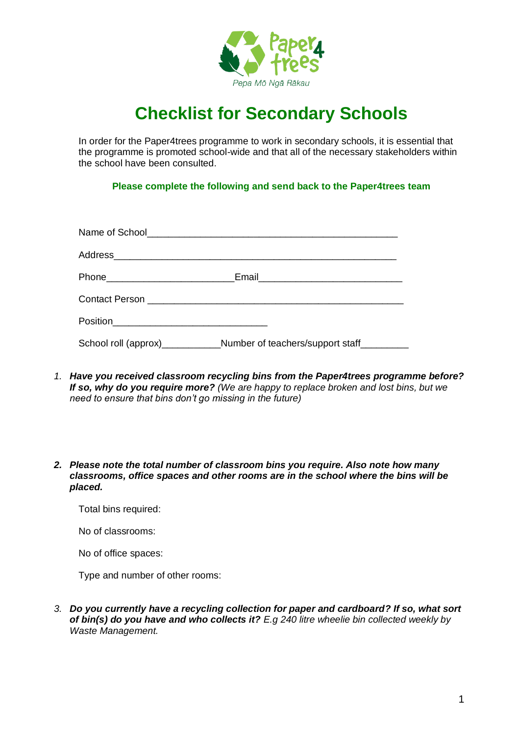

## **Checklist for Secondary Schools**

In order for the Paper4trees programme to work in secondary schools, it is essential that the programme is promoted school-wide and that all of the necessary stakeholders within the school have been consulted.

**Please complete the following and send back to the Paper4trees team**

| Phone__________________________ |                                                                                  |  |
|---------------------------------|----------------------------------------------------------------------------------|--|
|                                 |                                                                                  |  |
|                                 |                                                                                  |  |
|                                 | School roll (approx)______________Number of teachers/support staff______________ |  |

- *1. Have you received classroom recycling bins from the Paper4trees programme before? If so, why do you require more? (We are happy to replace broken and lost bins, but we need to ensure that bins don't go missing in the future)*
- *2. Please note the total number of classroom bins you require. Also note how many classrooms, office spaces and other rooms are in the school where the bins will be placed.*

Total bins required:

No of classrooms:

No of office spaces:

Type and number of other rooms:

*3. Do you currently have a recycling collection for paper and cardboard? If so, what sort of bin(s) do you have and who collects it? E.g 240 litre wheelie bin collected weekly by Waste Management.*